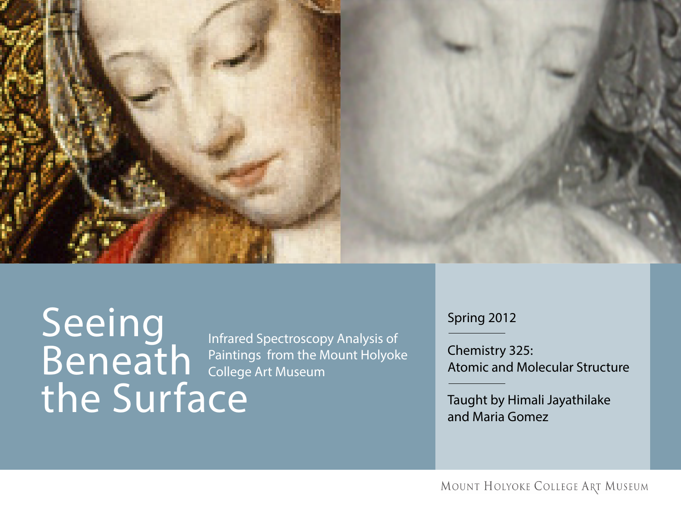

Seeing Beneath the Surface

 Infrared Spectroscopy Analysis of Paintings from the Mount Holyoke College Art Museum

Spring 2012

Chemistry 325: Atomic and Molecular Structure

Taught by Himali Jayathilake and Maria Gomez

MOUNT HOLYOKE COLLEGE ART MUSEUM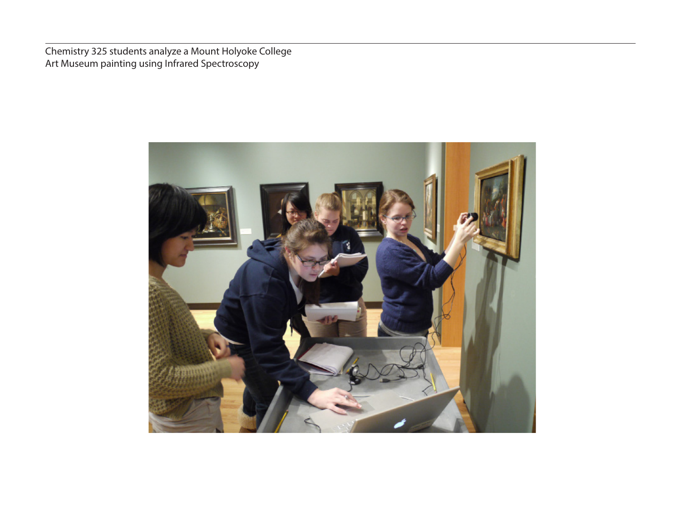Chemistry 325 students analyze a Mount Holyoke College Art Museum painting using Infrared Spectroscopy

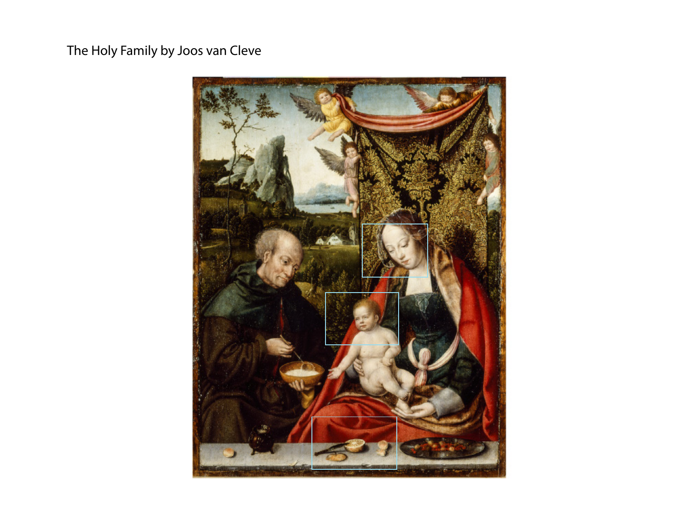The Holy Family by Joos van Cleve

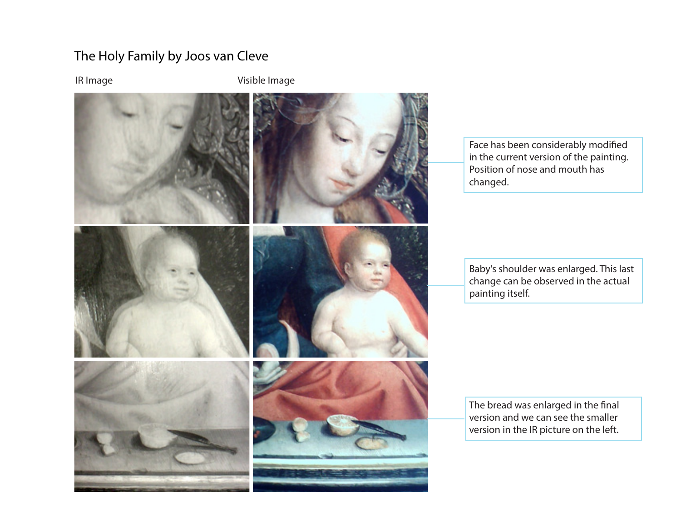#### The Holy Family by Joos van Cleve

IR Image **Visible Image** 



Face has been considerably modified in the current version of the painting. Position of nose and mouth has changed.

Baby's shoulder was enlarged. This last change can be observed in the actual painting itself.

The bread was enlarged in the final version and we can see the smaller version in the IR picture on the left.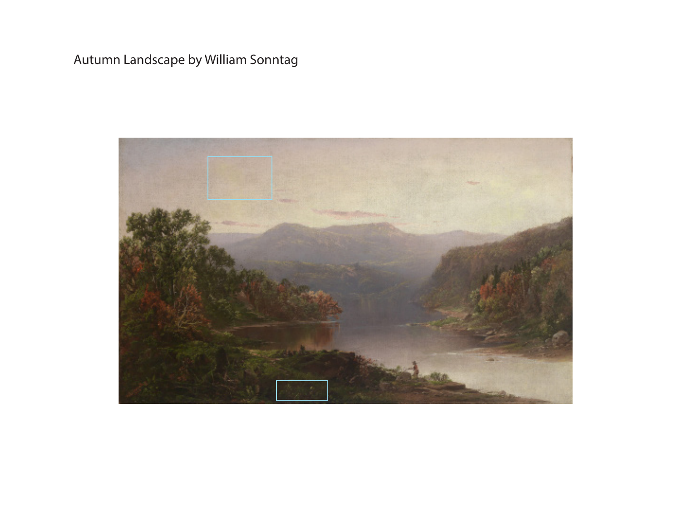# Autumn Landscape by William Sonntag

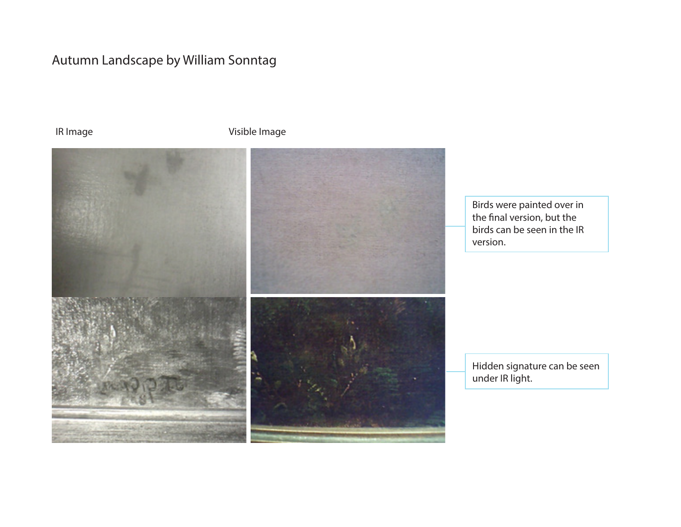### Autumn Landscape by William Sonntag

IR Image **Visible Image** 



Birds were painted over in the final version, but the birds can be seen in the IR version.

Hidden signature can be seen under IR light.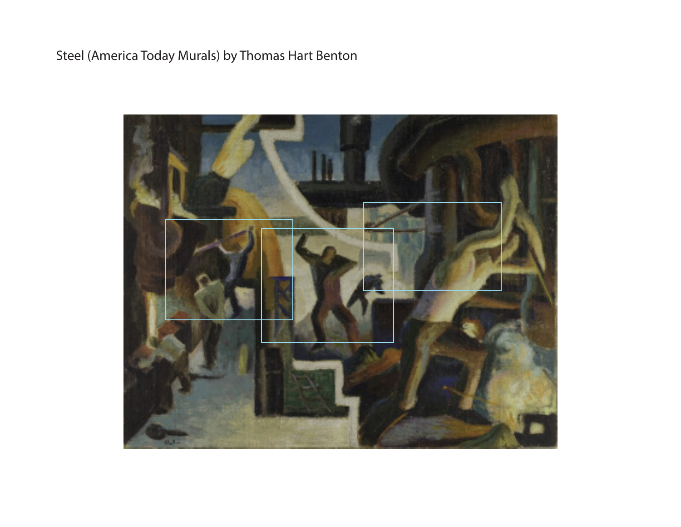# Steel (America Today Murals) by Thomas Hart Benton

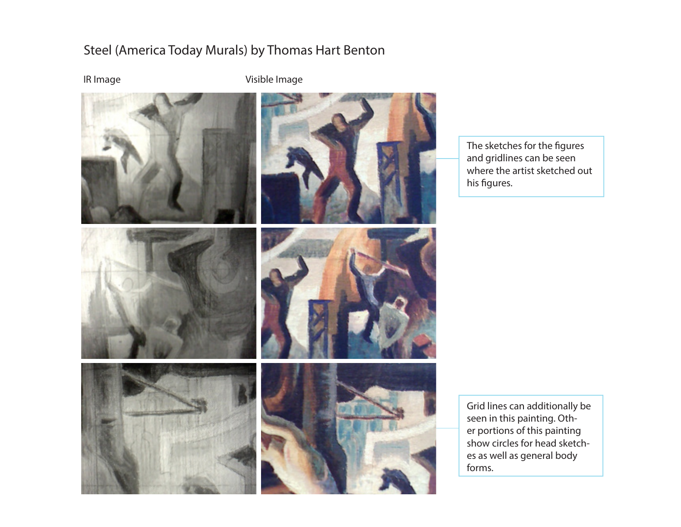#### Steel (America Today Murals) by Thomas Hart Benton

IR Image Visible Image



The sketches for the figures and gridlines can be seen where the artist sketched out his figures.

Grid lines can additionally be seen in this painting. Other portions of this painting show circles for head sketches as well as general body forms.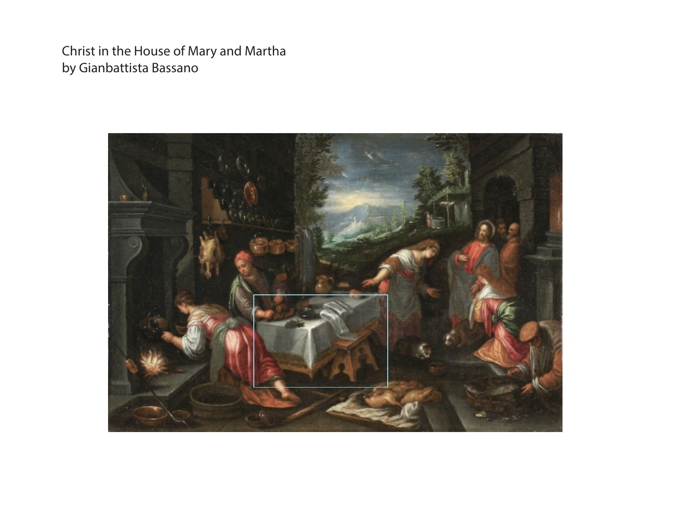Christ in the House of Mary and Martha by Gianbattista Bassano